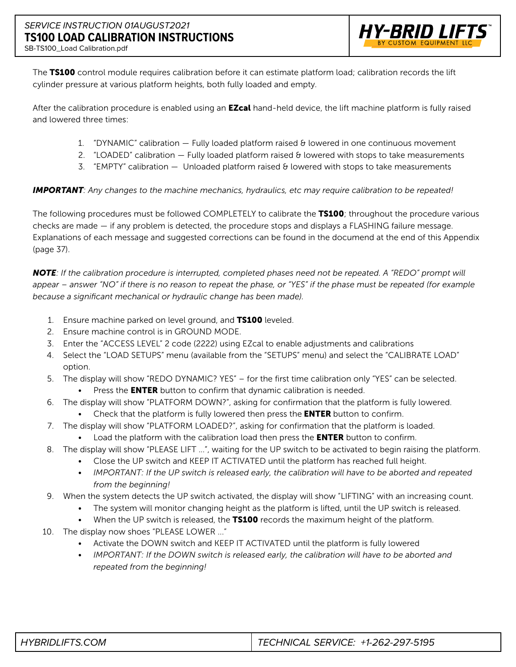

The TS100 control module requires calibration before it can estimate platform load; calibration records the lift cylinder pressure at various platform heights, both fully loaded and empty.

After the calibration procedure is enabled using an **EZcal** hand-held device, the lift machine platform is fully raised and lowered three times:

- 1. "DYNAMIC" calibration Fully loaded platform raised & lowered in one continuous movement
- 2. "LOADED" calibration  $-$  Fully loaded platform raised  $\theta$  lowered with stops to take measurements
- 3. "EMPTY" calibration Unloaded platform raised & lowered with stops to take measurements

### *IMPORTANT: Any changes to the machine mechanics, hydraulics, etc may require calibration to be repeated!*

The following procedures must be followed COMPLETELY to calibrate the **TS100**; throughout the procedure various checks are made — if any problem is detected, the procedure stops and displays a FLASHING failure message. Explanations of each message and suggested corrections can be found in the documend at the end of this Appendix (page 37).

*NOTE: If the calibration procedure is interrupted, completed phases need not be repeated. A "REDO" prompt will*  appear – answer "NO" if there is no reason to repeat the phase, or "YES" if the phase must be repeated (for example *because a significant mechanical or hydraulic change has been made).*

- 1. Ensure machine parked on level ground, and TS100 leveled.
- 2. Ensure machine control is in GROUND MODE.
- 3. Enter the "ACCESS LEVEL" 2 code (2222) using EZcal to enable adjustments and calibrations
- 4. Select the "LOAD SETUPS" menu (available from the "SETUPS" menu) and select the "CALIBRATE LOAD" option.
- 5. The display will show "REDO DYNAMIC? YES" for the first time calibration only "YES" can be selected.
	- Press the **ENTER** button to confirm that dynamic calibration is needed.
- 6. The display will show "PLATFORM DOWN?", asking for confirmation that the platform is fully lowered.
	- Check that the platform is fully lowered then press the **ENTER** button to confirm.
- 7. The display will show "PLATFORM LOADED?", asking for confirmation that the platform is loaded.
	- Load the platform with the calibration load then press the **ENTER** button to confirm.
- 8. The display will show "PLEASE LIFT …", waiting for the UP switch to be activated to begin raising the platform.
	- Close the UP switch and KEEP IT ACTIVATED until the platform has reached full height.
	- *IMPORTANT: If the UP switch is released early, the calibration will have to be aborted and repeated from the beginning!*
- 9. When the system detects the UP switch activated, the display will show "LIFTING" with an increasing count.
	- The system will monitor changing height as the platform is lifted, until the UP switch is released.
	- When the UP switch is released, the TS100 records the maximum height of the platform.
- 10. The display now shoes "PLEASE LOWER ..."
	- Activate the DOWN switch and KEEP IT ACTIVATED until the platform is fully lowered
	- *IMPORTANT: If the DOWN switch is released early, the calibration will have to be aborted and repeated from the beginning!*

| <i>HYBRIDLIFTS.COM</i> | TECHNICAL SERVICE: $+1-262-297-5195$ |
|------------------------|--------------------------------------|
|                        |                                      |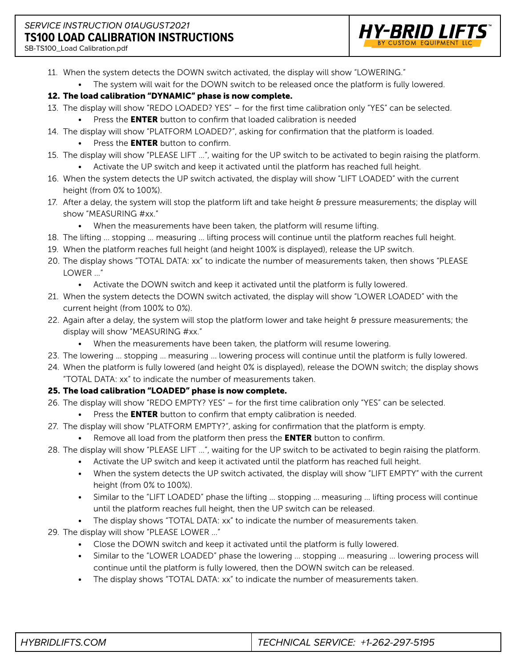# *SERVICE* INSTRUCTION *01AUGUST2021* **TS100 LOAD CALIBRATION INSTRUCTIONS**



SB-TS100\_Load Calibration.pdf

- 11. When the system detects the DOWN switch activated, the display will show "LOWERING."
	- The system will wait for the DOWN switch to be released once the platform is fully lowered.

## 12. The load calibration "DYNAMIC" phase is now complete.

- 13. The display will show "REDO LOADED? YES" for the first time calibration only "YES" can be selected.
	- Press the **ENTER** button to confirm that loaded calibration is needed
- 14. The display will show "PLATFORM LOADED?", asking for confirmation that the platform is loaded.
	- Press the **ENTER** button to confirm.
- 15. The display will show "PLEASE LIFT …", waiting for the UP switch to be activated to begin raising the platform. • Activate the UP switch and keep it activated until the platform has reached full height.
- 16. When the system detects the UP switch activated, the display will show "LIFT LOADED" with the current height (from 0% to 100%).
- 17. After a delay, the system will stop the platform lift and take height & pressure measurements; the display will show "MEASURING #xx."
	- When the measurements have been taken, the platform will resume lifting.
- 18. The lifting … stopping … measuring … lifting process will continue until the platform reaches full height.
- 19. When the platform reaches full height (and height 100% is displayed), release the UP switch.
- 20. The display shows "TOTAL DATA: xx" to indicate the number of measurements taken, then shows "PLEASE LOWER …"
	- Activate the DOWN switch and keep it activated until the platform is fully lowered.
- 21. When the system detects the DOWN switch activated, the display will show "LOWER LOADED" with the current height (from 100% to 0%).
- 22. Again after a delay, the system will stop the platform lower and take height & pressure measurements; the display will show "MEASURING #xx."
	- When the measurements have been taken, the platform will resume lowering.
- 23. The lowering … stopping … measuring … lowering process will continue until the platform is fully lowered.
- 24. When the platform is fully lowered (and height 0% is displayed), release the DOWN switch; the display shows "TOTAL DATA: xx" to indicate the number of measurements taken.

# 25. The load calibration "LOADED" phase is now complete.

- 26. The display will show "REDO EMPTY? YES" for the first time calibration only "YES" can be selected.
	- Press the **ENTER** button to confirm that empty calibration is needed.
- 27. The display will show "PLATFORM EMPTY?", asking for confirmation that the platform is empty.
	- Remove all load from the platform then press the **ENTER** button to confirm.
- 28. The display will show "PLEASE LIFT …", waiting for the UP switch to be activated to begin raising the platform.
	- Activate the UP switch and keep it activated until the platform has reached full height.
	- When the system detects the UP switch activated, the display will show "LIFT EMPTY" with the current height (from 0% to 100%).
	- Similar to the "LIFT LOADED" phase the lifting … stopping … measuring … lifting process will continue until the platform reaches full height, then the UP switch can be released.
	- The display shows "TOTAL DATA: xx" to indicate the number of measurements taken.
- 29. The display will show "PLEASE LOWER …"
	- Close the DOWN switch and keep it activated until the platform is fully lowered.
	- Similar to the "LOWER LOADED" phase the lowering ... stopping ... measuring ... lowering process will continue until the platform is fully lowered, then the DOWN switch can be released.
	- The display shows "TOTAL DATA: xx" to indicate the number of measurements taken.

| TECHNICAL SERVICE: +1-262-297-5195<br><i>HYBRIDLIFTS.COM</i> |
|--------------------------------------------------------------|
|--------------------------------------------------------------|